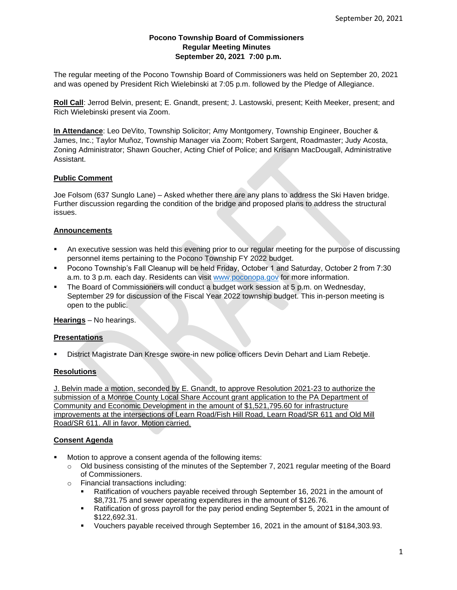## **Pocono Township Board of Commissioners Regular Meeting Minutes September 20, 2021 7:00 p.m.**

The regular meeting of the Pocono Township Board of Commissioners was held on September 20, 2021 and was opened by President Rich Wielebinski at 7:05 p.m. followed by the Pledge of Allegiance.

**Roll Call**: Jerrod Belvin, present; E. Gnandt, present; J. Lastowski, present; Keith Meeker, present; and Rich Wielebinski present via Zoom.

**In Attendance**: Leo DeVito, Township Solicitor; Amy Montgomery, Township Engineer, Boucher & James, Inc.; Taylor Muñoz, Township Manager via Zoom; Robert Sargent, Roadmaster; Judy Acosta, Zoning Administrator; Shawn Goucher, Acting Chief of Police; and Krisann MacDougall, Administrative Assistant.

## **Public Comment**

Joe Folsom (637 Sunglo Lane) – Asked whether there are any plans to address the Ski Haven bridge. Further discussion regarding the condition of the bridge and proposed plans to address the structural issues.

## **Announcements**

- An executive session was held this evening prior to our regular meeting for the purpose of discussing personnel items pertaining to the Pocono Township FY 2022 budget.
- Pocono Township's Fall Cleanup will be held Friday, October 1 and Saturday, October 2 from 7:30 a.m. to 3 p.m. each day. Residents can visit [www.poconopa.gov](http://www.poconopa.gov/) for more information.
- The Board of Commissioners will conduct a budget work session at 5 p.m. on Wednesday, September 29 for discussion of the Fiscal Year 2022 township budget. This in-person meeting is open to the public.

**Hearings** – No hearings.

#### **Presentations**

District Magistrate Dan Kresge swore-in new police officers Devin Dehart and Liam Rebetje.

#### **Resolutions**

J. Belvin made a motion, seconded by E. Gnandt, to approve Resolution 2021-23 to authorize the submission of a Monroe County Local Share Account grant application to the PA Department of Community and Economic Development in the amount of \$1,521,795.60 for infrastructure improvements at the intersections of Learn Road/Fish Hill Road, Learn Road/SR 611 and Old Mill Road/SR 611. All in favor. Motion carried.

## **Consent Agenda**

- Motion to approve a consent agenda of the following items:
	- $\circ$  Old business consisting of the minutes of the September 7, 2021 regular meeting of the Board of Commissioners.
	- o Financial transactions including:
		- Ratification of vouchers payable received through September 16, 2021 in the amount of \$8,731.75 and sewer operating expenditures in the amount of \$126.76.
		- **EXECT** Ratification of gross payroll for the pay period ending September 5, 2021 in the amount of \$122,692.31.
		- Vouchers payable received through September 16, 2021 in the amount of \$184,303.93.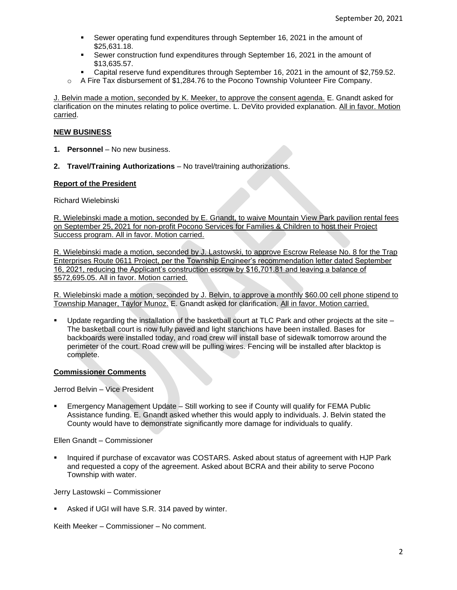- Sewer operating fund expenditures through September 16, 2021 in the amount of \$25,631.18.
- Sewer construction fund expenditures through September 16, 2021 in the amount of \$13,635.57.
- Capital reserve fund expenditures through September 16, 2021 in the amount of \$2,759.52.
- $\circ$  A Fire Tax disbursement of \$1,284.76 to the Pocono Township Volunteer Fire Company.

J. Belvin made a motion, seconded by K. Meeker, to approve the consent agenda. E. Gnandt asked for clarification on the minutes relating to police overtime. L. DeVito provided explanation. All in favor. Motion carried.

#### **NEW BUSINESS**

- 1. **Personnel** No new business.
- **2. Travel/Training Authorizations**  No travel/training authorizations.

### **Report of the President**

Richard Wielebinski

R. Wielebinski made a motion, seconded by E. Gnandt, to waive Mountain View Park pavilion rental fees on September 25, 2021 for non-profit Pocono Services for Families & Children to host their Project Success program. All in favor. Motion carried.

R. Wielebinski made a motion, seconded by J. Lastowski, to approve Escrow Release No. 8 for the Trap Enterprises Route 0611 Project, per the Township Engineer's recommendation letter dated September 16, 2021, reducing the Applicant's construction escrow by \$16,701.81 and leaving a balance of \$572,695.05. All in favor. Motion carried.

R. Wielebinski made a motion, seconded by J. Belvin, to approve a monthly \$60.00 cell phone stipend to Township Manager, Taylor Munoz. E. Gnandt asked for clarification. All in favor. Motion carried.

Update regarding the installation of the basketball court at TLC Park and other projects at the site  $-$ The basketball court is now fully paved and light stanchions have been installed. Bases for backboards were installed today, and road crew will install base of sidewalk tomorrow around the perimeter of the court. Road crew will be pulling wires. Fencing will be installed after blacktop is complete.

#### **Commissioner Comments**

Jerrod Belvin – Vice President

Emergency Management Update – Still working to see if County will qualify for FEMA Public Assistance funding. E. Gnandt asked whether this would apply to individuals. J. Belvin stated the County would have to demonstrate significantly more damage for individuals to qualify.

Ellen Gnandt – Commissioner

▪ Inquired if purchase of excavator was COSTARS. Asked about status of agreement with HJP Park and requested a copy of the agreement. Asked about BCRA and their ability to serve Pocono Township with water.

Jerry Lastowski – Commissioner

Asked if UGI will have S.R. 314 paved by winter.

Keith Meeker – Commissioner – No comment.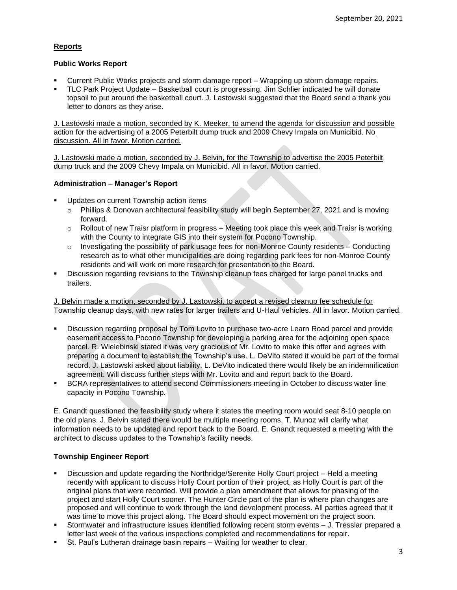# **Reports**

## **Public Works Report**

- Current Public Works projects and storm damage report Wrapping up storm damage repairs.
- TLC Park Project Update Basketball court is progressing. Jim Schlier indicated he will donate topsoil to put around the basketball court. J. Lastowski suggested that the Board send a thank you letter to donors as they arise.

J. Lastowski made a motion, seconded by K. Meeker, to amend the agenda for discussion and possible action for the advertising of a 2005 Peterbilt dump truck and 2009 Chevy Impala on Municibid. No discussion. All in favor. Motion carried.

J. Lastowski made a motion, seconded by J. Belvin, for the Township to advertise the 2005 Peterbilt dump truck and the 2009 Chevy Impala on Municibid. All in favor. Motion carried.

## **Administration – Manager's Report**

- Updates on current Township action items
	- o Phillips & Donovan architectural feasibility study will begin September 27, 2021 and is moving forward.
	- o Rollout of new Traisr platform in progress Meeting took place this week and Traisr is working with the County to integrate GIS into their system for Pocono Township.
	- $\circ$  Investigating the possibility of park usage fees for non-Monroe County residents Conducting research as to what other municipalities are doing regarding park fees for non-Monroe County residents and will work on more research for presentation to the Board.
- Discussion regarding revisions to the Township cleanup fees charged for large panel trucks and trailers.

J. Belvin made a motion, seconded by J. Lastowski, to accept a revised cleanup fee schedule for Township cleanup days, with new rates for larger trailers and U-Haul vehicles. All in favor. Motion carried.

- Discussion regarding proposal by Tom Lovito to purchase two-acre Learn Road parcel and provide easement access to Pocono Township for developing a parking area for the adjoining open space parcel. R. Wielebinski stated it was very gracious of Mr. Lovito to make this offer and agrees with preparing a document to establish the Township's use. L. DeVito stated it would be part of the formal record. J. Lastowski asked about liability. L. DeVito indicated there would likely be an indemnification agreement. Will discuss further steps with Mr. Lovito and and report back to the Board.
- BCRA representatives to attend second Commissioners meeting in October to discuss water line capacity in Pocono Township.

E. Gnandt questioned the feasibility study where it states the meeting room would seat 8-10 people on the old plans. J. Belvin stated there would be multiple meeting rooms. T. Munoz will clarify what information needs to be updated and report back to the Board. E. Gnandt requested a meeting with the architect to discuss updates to the Township's facility needs.

## **Township Engineer Report**

- Discussion and update regarding the Northridge/Serenite Holly Court project Held a meeting recently with applicant to discuss Holly Court portion of their project, as Holly Court is part of the original plans that were recorded. Will provide a plan amendment that allows for phasing of the project and start Holly Court sooner. The Hunter Circle part of the plan is where plan changes are proposed and will continue to work through the land development process. All parties agreed that it was time to move this project along. The Board should expect movement on the project soon.
- Stormwater and infrastructure issues identified following recent storm events J. Tresslar prepared a letter last week of the various inspections completed and recommendations for repair.
- St. Paul's Lutheran drainage basin repairs Waiting for weather to clear.